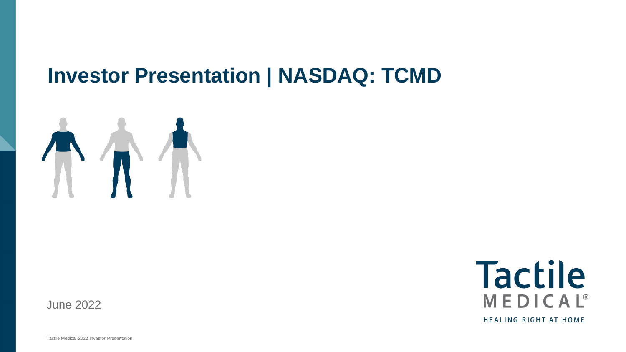## **Investor Presentation | NASDAQ: TCMD**



**Tactile** MEDICAL<sup>®</sup> **HEALING RIGHT AT HOME** 

June 2022

Tactile Medical 2022 Investor Presentation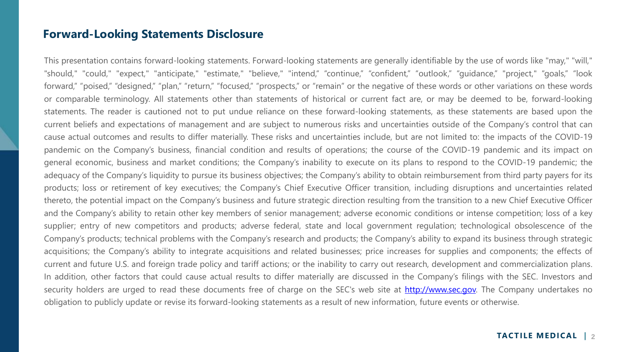#### **Forward-Looking Statements Disclosure**

This presentation contains forward-looking statements. Forward-looking statements are generally identifiable by the use of words like "may," "will," "should," "could," "expect," "anticipate," "estimate," "believe," "intend," "continue," "confident," "outlook," "guidance," "project," "goals," "look forward," "poised," "designed," "plan," "return," "focused," "prospects," or "remain" or the negative of these words or other variations on these words or comparable terminology. All statements other than statements of historical or current fact are, or may be deemed to be, forward-looking statements. The reader is cautioned not to put undue reliance on these forward-looking statements, as these statements are based upon the current beliefs and expectations of management and are subject to numerous risks and uncertainties outside of the Company's control that can cause actual outcomes and results to differ materially. These risks and uncertainties include, but are not limited to: the impacts of the COVID-19 pandemic on the Company's business, financial condition and results of operations; the course of the COVID-19 pandemic and its impact on general economic, business and market conditions; the Company's inability to execute on its plans to respond to the COVID-19 pandemic; the adequacy of the Company's liquidity to pursue its business objectives; the Company's ability to obtain reimbursement from third party payers for its products; loss or retirement of key executives; the Company's Chief Executive Officer transition, including disruptions and uncertainties related thereto, the potential impact on the Company's business and future strategic direction resulting from the transition to a new Chief Executive Officer and the Company's ability to retain other key members of senior management; adverse economic conditions or intense competition; loss of a key supplier; entry of new competitors and products; adverse federal, state and local government regulation; technological obsolescence of the Company's products; technical problems with the Company's research and products; the Company's ability to expand its business through strategic acquisitions; the Company's ability to integrate acquisitions and related businesses; price increases for supplies and components; the effects of current and future U.S. and foreign trade policy and tariff actions; or the inability to carry out research, development and commercialization plans. In addition, other factors that could cause actual results to differ materially are discussed in the Company's filings with the SEC. Investors and security holders are urged to read these documents free of charge on the SEC's web site at [http://www.sec.gov.](http://www.sec.gov/) The Company undertakes no obligation to publicly update or revise its forward-looking statements as a result of new information, future events or otherwise.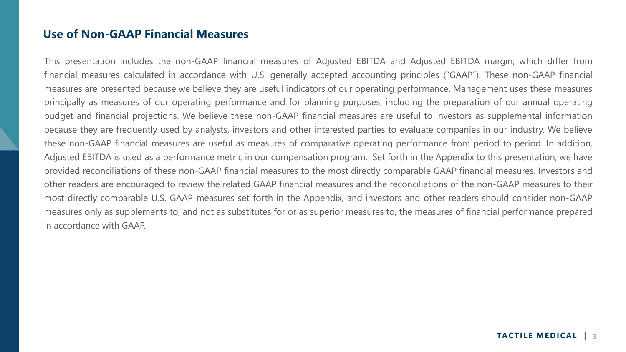#### **Use of Non-GAAP Financial Measures**

This presentation includes the non-GAAP financial measures of Adjusted EBITDA and Adjusted EBITDA margin, which differ from financial measures calculated in accordance with U.S. generally accepted accounting principles ("GAAP"). These non-GAAP financial measures are presented because we believe they are useful indicators of our operating performance. Management uses these measures principally as measures of our operating performance and for planning purposes, including the preparation of our annual operating budget and financial projections. We believe these non-GAAP financial measures are useful to investors as supplemental information because they are frequently used by analysts, investors and other interested parties to evaluate companies in our industry. We believe these non-GAAP financial measures are useful as measures of comparative operating performance from period to period. In addition, Adjusted EBITDA is used as a performance metric in our compensation program. Set forth in the Appendix to this presentation, we have provided reconciliations of these non-GAAP financial measures to the most directly comparable GAAP financial measures. Investors and other readers are encouraged to review the related GAAP financial measures and the reconciliations of the non-GAAP measures to their most directly comparable U.S. GAAP measures set forth in the Appendix, and investors and other readers should consider non-GAAP measures only as supplements to, and not as substitutes for or as superior measures to, the measures of financial performance prepared in accordance with GAAP.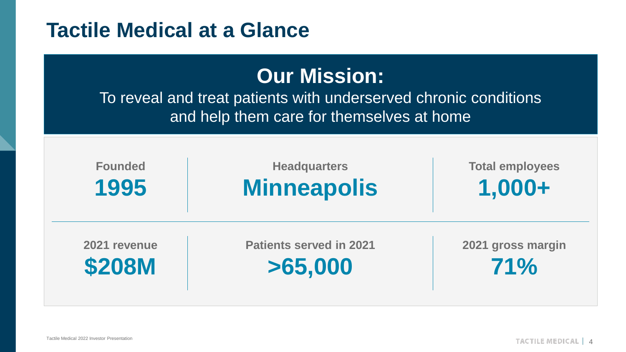### **Tactile Medical at a Glance**

### **Our Mission:**

To reveal and treat patients with underserved chronic conditions and help them care for themselves at home

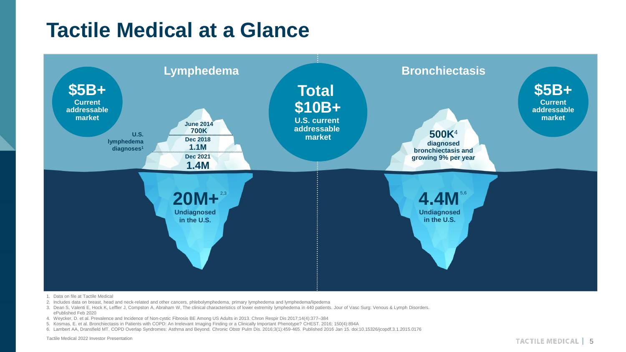## **Tactile Medical at a Glance**



- 1. Data on file at Tactile Medical
- 2. Includes data on breast, head and neck-related and other cancers, phlebolymphedema, primary lymphedema and lymphedema/lipedema
- 3. Dean S, Valenti E, Hock K, Leffler J, Compston A, Abraham W, The clinical characteristics of lower extremity lymphedema in 440 patients. Jour of Vasc Surg: Venous & Lymph Disorders. ePublished Feb 2020
- 4. Weycker, D. et al. Prevalence and Incidence of Non-cystic Fibrosis BE Among US Adults in 2013. Chron Respir Dis 2017;14(4):377–384
- 5. Kosmas, E. et al. Bronchiectasis in Patients with COPD: An Irrelevant Imaging Finding or a Clinically Important Phenotype? CHEST. 2016; 150(4):894A
- 6. Lambert AA, Dransfield MT. COPD Overlap Syndromes: Asthma and Beyond. Chronic Obstr Pulm Dis. 2016;3(1):459-465. Published 2016 Jan 15. doi:10.15326/jcopdf.3.1.2015.0176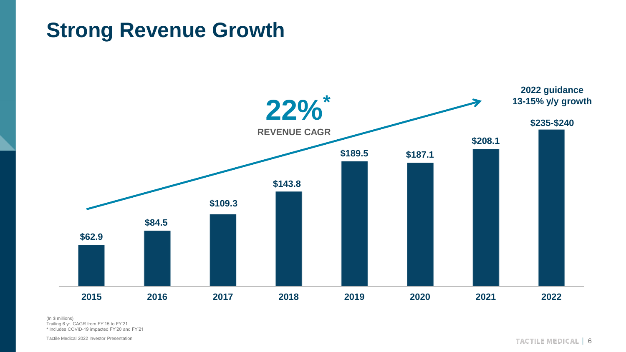## **Strong Revenue Growth**



(In \$ millions) Trailing 6 yr. CAGR from FY'15 to FY'21 \* Includes COVID-19 impacted FY'20 and FY'21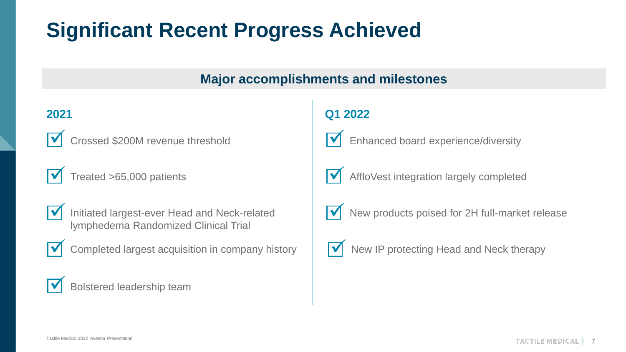# **Significant Recent Progress Achieved**

### **Major accomplishments and milestones**

### **2021**



✓ Crossed \$200M revenue threshold



Treated >65,000 patients



Initiated largest-ever Head and Neck-related lymphedema Randomized Clinical Trial



Completed largest acquisition in company history

### Bolstered leadership team

### **Q1 2022**



Enhanced board experience/diversity



AffloVest integration largely completed



New products poised for 2H full-market release



New IP protecting Head and Neck therapy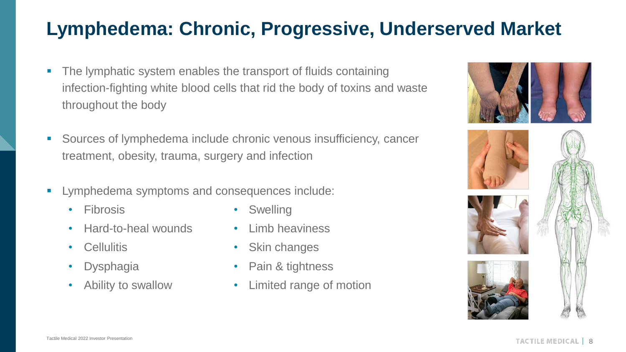### **Lymphedema: Chronic, Progressive, Underserved Market**

- The lymphatic system enables the transport of fluids containing infection-fighting white blood cells that rid the body of toxins and waste throughout the body
- Sources of lymphedema include chronic venous insufficiency, cancer treatment, obesity, trauma, surgery and infection
- Lymphedema symptoms and consequences include:
	-
	- Hard-to-heal wounds Limb heaviness
	-
	-
	-
- Fibrosis Swelling
	-
- Cellulitis Skin changes
	- Dysphagia Pain & tightness
- Ability to swallow Limited range of motion

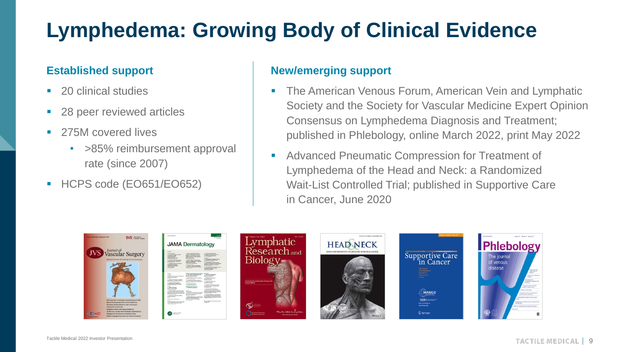# **Lymphedema: Growing Body of Clinical Evidence**

#### **Established support**

- 20 clinical studies
- 28 peer reviewed articles
- 275M covered lives
	- >85% reimbursement approval rate (since 2007)
- HCPS code (EO651/EO652)

#### **New/emerging support**

- **The American Venous Forum, American Vein and Lymphatic** Society and the Society for Vascular Medicine Expert Opinion Consensus on Lymphedema Diagnosis and Treatment; published in Phlebology, online March 2022, print May 2022
- Advanced Pneumatic Compression for Treatment of Lymphedema of the Head and Neck: a Randomized Wait-List Controlled Trial; published in Supportive Care in Cancer, June 2020

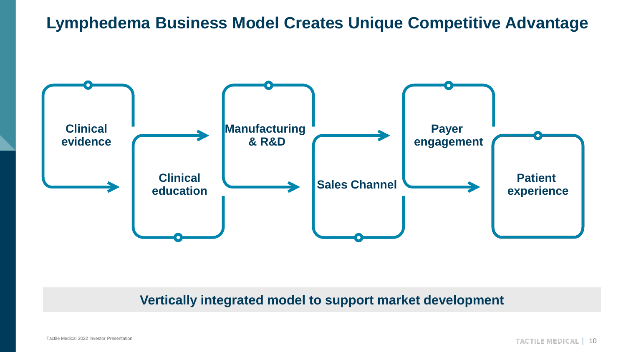### **Lymphedema Business Model Creates Unique Competitive Advantage**



#### **Vertically integrated model to support market development**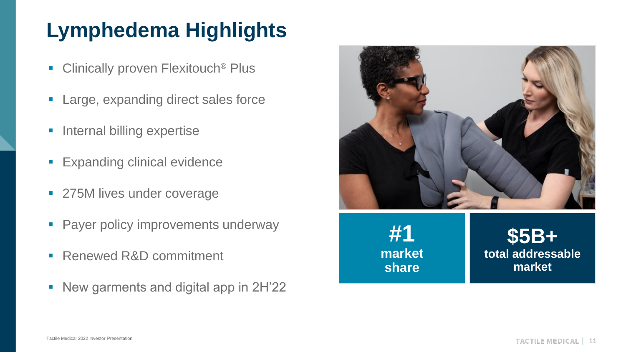# **Lymphedema Highlights**

- Clinically proven Flexitouch<sup>®</sup> Plus
- Large, expanding direct sales force
- **E** Internal billing expertise
- **Expanding clinical evidence**
- 275M lives under coverage
- **Payer policy improvements underway**
- Renewed R&D commitment
- New garments and digital app in 2H'22

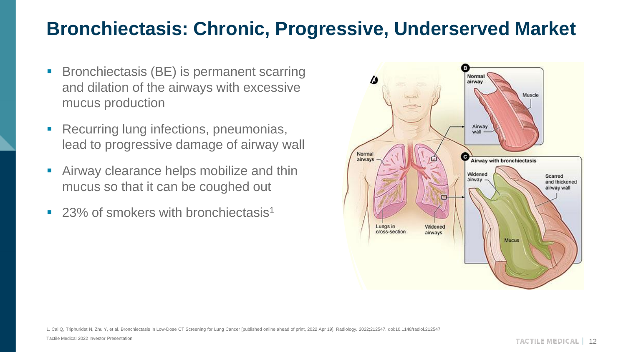### **Bronchiectasis: Chronic, Progressive, Underserved Market**

- Bronchiectasis (BE) is permanent scarring and dilation of the airways with excessive mucus production
- Recurring lung infections, pneumonias, lead to progressive damage of airway wall
- **E** Airway clearance helps mobilize and thin mucus so that it can be coughed out
- 23% of smokers with bronchiectasis<sup>1</sup>



1. Cai Q, Triphuridet N, Zhu Y, et al. Bronchiectasis in Low-Dose CT Screening for Lung Cancer [published online ahead of print, 2022 Apr 19]. Radiology. 2022;212547. doi:10.1148/radiol.212547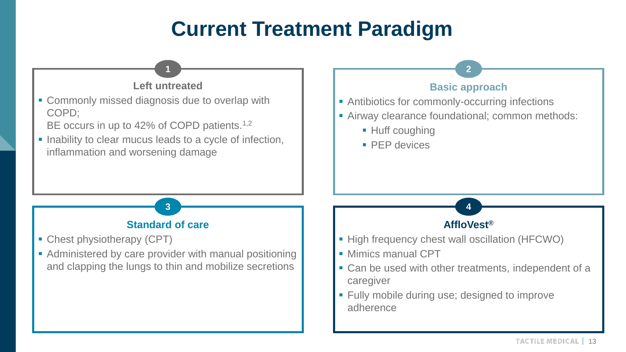## **Current Treatment Paradigm**

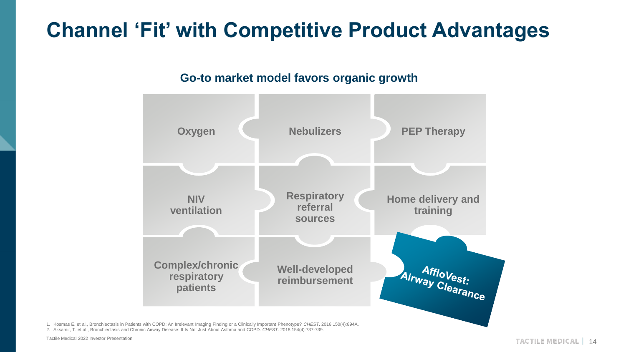## **Channel 'Fit' with Competitive Product Advantages**

#### **Go-to market model favors organic growth**



1. Kosmas E. et al., Bronchiectasis in Patients with COPD: An Irrelevant Imaging Finding or a Clinically Important Phenotype? *CHEST*. 2016;150(4):894A. 2. Aksamit, T. et al., Bronchiectasis and Chronic Airway Disease: It Is Not Just About Asthma and COPD. *CHEST*. 2018;154(4):737-739.

Tactile Medical 2022 Investor Presentation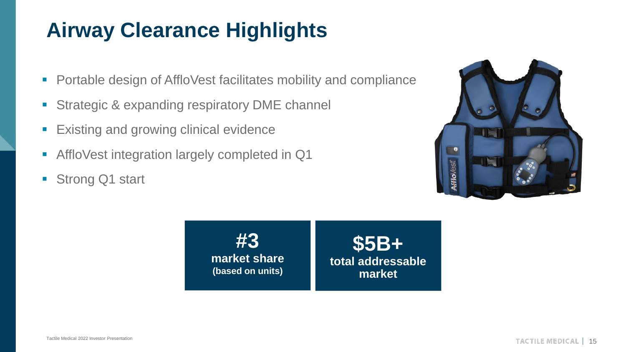# **Airway Clearance Highlights**

- Portable design of AffloVest facilitates mobility and compliance
- **EXPAREGIC & expanding respiratory DME channel**
- **Existing and growing clinical evidence**
- AffloVest integration largely completed in Q1
- Strong Q1 start



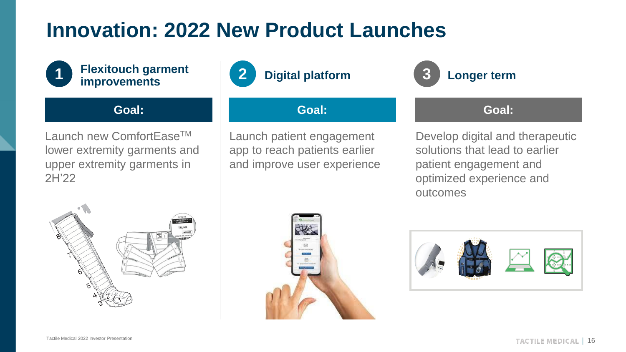## **Innovation: 2022 New Product Launches**



#### **Flexitouch garment improvements**

**Goal:** 

Launch new ComfortEase<sup>™</sup> lower extremity garments and upper extremity garments in 2H'22



**Goal:** 

Launch patient engagement app to reach patients earlier and improve user experience



#### **Goal:**

Develop digital and therapeutic solutions that lead to earlier patient engagement and optimized experience and outcomes





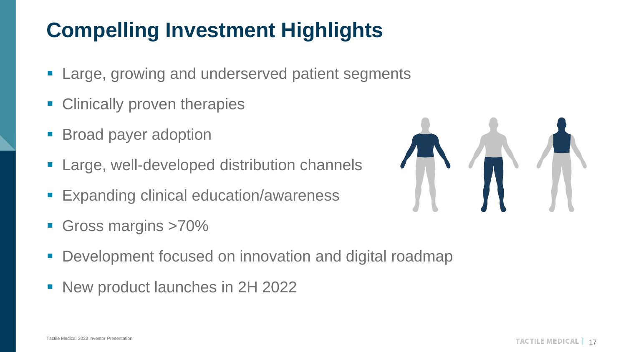# **Compelling Investment Highlights**

- **Example 7 Large, growing and underserved patient segments**
- **EXECLIPTION CONTROLLER** Clinically proven therapies
- Broad payer adoption
- **Example 1** Large, well-developed distribution channels
- **Expanding clinical education/awareness**
- Gross margins >70%
- **Development focused on innovation and digital roadmap**
- New product launches in 2H 2022

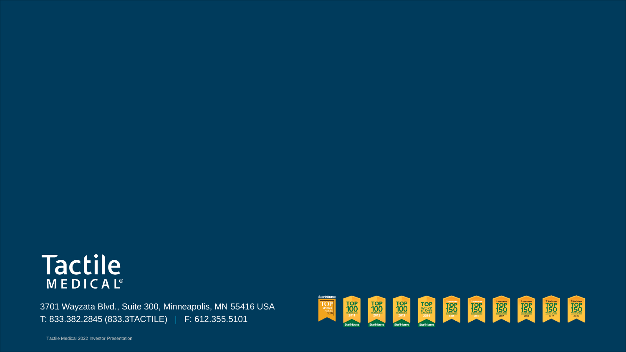### **Tactile** MEDICAL<sup>®</sup>

3701 Wayzata Blvd., Suite 300, Minneapolis, MN 55416 USA T: 833.382.2845 (833.3TACTILE) | F: 612.355.5101